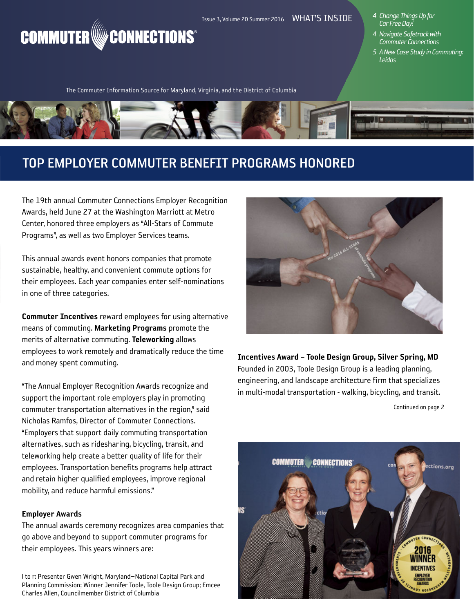# Issue 3, Volume 20 Summer 2016 WHAT'S INSIDE **COMMUTER** WE CONNECTIONS<sup>®</sup>

- *4 Change Things Up for Car Free Day!*
- *4 Navigate Safetrack with Commuter Connections*
- *5 A New Case Study in Commuting: Leidos*

The Commuter Information Source for Maryland, Virginia, and the District of Columbia



# TOP EMPLOYER COMMUTER BENEFIT PROGRAMS HONORED

The 19th annual Commuter Connections Employer Recognition Awards, held June 27 at the Washington Marriott at Metro Center, honored three employers as "All-Stars of Commute Programs", as well as two Employer Services teams.

This annual awards event honors companies that promote sustainable, healthy, and convenient commute options for their employees. Each year companies enter self-nominations in one of three categories.

Commuter Incentives reward employees for using alternative means of commuting. Marketing Programs promote the merits of alternative commuting. Teleworking allows employees to work remotely and dramatically reduce the time and money spent commuting.

"The Annual Employer Recognition Awards recognize and support the important role employers play in promoting commuter transportation alternatives in the region," said Nicholas Ramfos, Director of Commuter Connections. "Employers that support daily commuting transportation alternatives, such as ridesharing, bicycling, transit, and teleworking help create a better quality of life for their employees. Transportation benefits programs help attract and retain higher qualified employees, improve regional mobility, and reduce harmful emissions."

#### Employer Awards

The annual awards ceremony recognizes area companies that go above and beyond to support commuter programs for their employees. This years winners are:

I to r: Presenter Gwen Wright, Maryland-National Capital Park and Planning Commission; Winner Jennifer Toole, Toole Design Group; Emcee Charles Allen, Councilmember District of Columbia



Incentives Award – Toole Design Group, Silver Spring, MD Founded in 2003, Toole Design Group is a leading planning, engineering, and landscape architecture firm that specializes in multi-modal transportation - walking, bicycling, and transit.

Continued on page 2

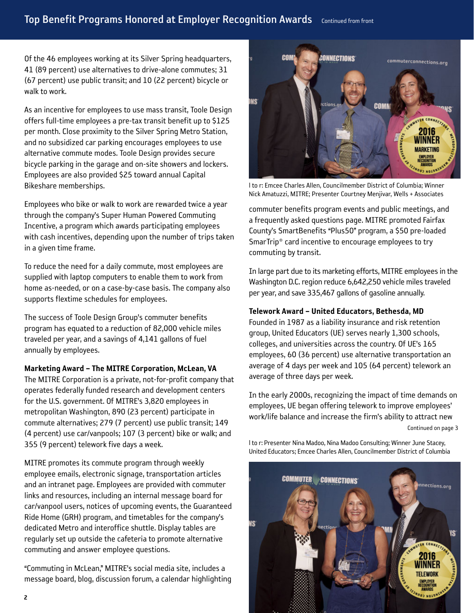Of the 46 employees working at its Silver Spring headquarters, 41 (89 percent) use alternatives to drive-alone commutes; 31 (67 percent) use public transit; and 10 (22 percent) bicycle or walk to work.

As an incentive for employees to use mass transit, Toole Design offers full-time employees a pre-tax transit benefit up to \$125 per month. Close proximity to the Silver Spring Metro Station, and no subsidized car parking encourages employees to use alternative commute modes. Toole Design provides secure bicycle parking in the garage and on-site showers and lockers. Employees are also provided \$25 toward annual Capital Bikeshare memberships.

Employees who bike or walk to work are rewarded twice a year through the company's Super Human Powered Commuting Incentive, a program which awards participating employees with cash incentives, depending upon the number of trips taken in a given time frame.

To reduce the need for a daily commute, most employees are supplied with laptop computers to enable them to work from home as-needed, or on a case-by-case basis. The company also supports flextime schedules for employees.

The success of Toole Design Group's commuter benefits program has equated to a reduction of 82,000 vehicle miles traveled per year, and a savings of 4,141 gallons of fuel annually by employees.

## Marketing Award – The MITRE Corporation, McLean, VA

The MITRE Corporation is a private, not-for-profit company that operates federally funded research and development centers for the U.S. government. Of MITRE's 3,820 employees in metropolitan Washington, 890 (23 percent) participate in commute alternatives; 279 (7 percent) use public transit; 149 (4 percent) use car/vanpools; 107 (3 percent) bike or walk; and 355 (9 percent) telework five days a week.

MITRE promotes its commute program through weekly employee emails, electronic signage, transportation articles and an intranet page. Employees are provided with commuter links and resources, including an internal message board for car/vanpool users, notices of upcoming events, the Guaranteed Ride Home (GRH) program, and timetables for the company's dedicated Metro and interoffice shuttle. Display tables are regularly set up outside the cafeteria to promote alternative commuting and answer employee questions.

"Commuting in McLean," MITRE's social media site, includes a message board, blog, discussion forum, a calendar highlighting



l to r: Emcee Charles Allen, Councilmember District of Columbia; Winner Nick Amatuzzi, MITRE; Presenter Courtney Menjivar, Wells + Associates

commuter benefits program events and public meetings, and a frequently asked questions page. MITRE promoted Fairfax County's SmartBenefits "Plus50" program, a \$50 pre-loaded SmarTrip® card incentive to encourage employees to try commuting by transit.

In large part due to its marketing efforts, MITRE employees in the Washington D.C. region reduce 6,642,250 vehicle miles traveled per year, and save 335,467 gallons of gasoline annually.

### Telework Award – United Educators, Bethesda, MD

Founded in 1987 as a liability insurance and risk retention group, United Educators (UE) serves nearly 1,300 schools, colleges, and universities across the country. Of UE's 165 employees, 60 (36 percent) use alternative transportation an average of 4 days per week and 105 (64 percent) telework an average of three days per week.

In the early 2000s, recognizing the impact of time demands on employees, UE began offering telework to improve employees' work/life balance and increase the firm's ability to attract new

```
Continued on page 3
```


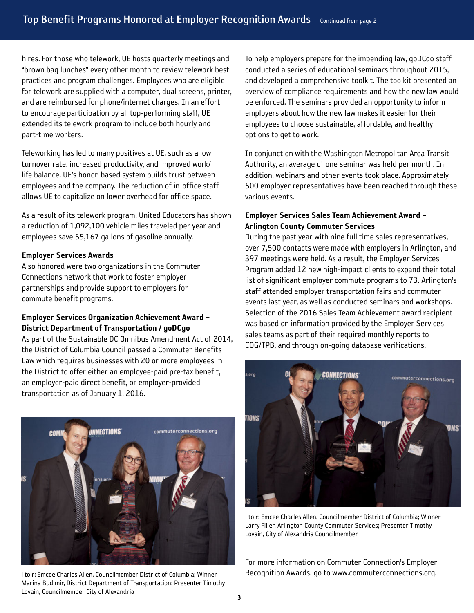hires. For those who telework, UE hosts quarterly meetings and "brown bag lunches" every other month to review telework best practices and program challenges. Employees who are eligible for telework are supplied with a computer, dual screens, printer, and are reimbursed for phone/internet charges. In an effort to encourage participation by all top-performing staff, UE extended its telework program to include both hourly and part-time workers.

Teleworking has led to many positives at UE, such as a low turnover rate, increased productivity, and improved work/ life balance. UE's honor-based system builds trust between employees and the company. The reduction of in-office staff allows UE to capitalize on lower overhead for office space.

As a result of its telework program, United Educators has shown a reduction of 1,092,100 vehicle miles traveled per year and employees save 55,167 gallons of gasoline annually.

#### Employer Services Awards

Also honored were two organizations in the Commuter Connections network that work to foster employer partnerships and provide support to employers for commute benefit programs.

#### Employer Services Organization Achievement Award – District Department of Transportation / goDCgo

As part of the Sustainable DC Omnibus Amendment Act of 2014, the District of Columbia Council passed a Commuter Benefits Law which requires businesses with 20 or more employees in the District to offer either an employee-paid pre-tax benefit, an employer-paid direct benefit, or employer-provided transportation as of January 1, 2016.



 $\overline{3}$   $\overline{4}$   $\overline{4}$   $\overline{4}$   $\overline{4}$   $\overline{4}$   $\overline{4}$   $\overline{4}$   $\overline{4}$   $\overline{4}$   $\overline{4}$   $\overline{4}$   $\overline{4}$   $\overline{4}$   $\overline{4}$   $\overline{4}$   $\overline{4}$   $\overline{4}$   $\overline{4}$   $\overline{4}$   $\overline{4}$   $\overline{4}$   $\overline{4}$   $\overline{4}$   $\overline{$ l to r: Emcee Charles Allen, Councilmember District of Columbia; Winner Marina Budimir, District Department of Transportation; Presenter Timothy Lovain, Councilmember City of Alexandria

To help employers prepare for the impending law, goDCgo staff conducted a series of educational seminars throughout 2015, and developed a comprehensive toolkit. The toolkit presented an overview of compliance requirements and how the new law would be enforced. The seminars provided an opportunity to inform employers about how the new law makes it easier for their employees to choose sustainable, affordable, and healthy options to get to work.

In conjunction with the Washington Metropolitan Area Transit Authority, an average of one seminar was held per month. In addition, webinars and other events took place. Approximately 500 employer representatives have been reached through these various events.

#### Employer Services Sales Team Achievement Award – Arlington County Commuter Services

During the past year with nine full time sales representatives, over 7,500 contacts were made with employers in Arlington, and 397 meetings were held. As a result, the Employer Services Program added 12 new high-impact clients to expand their total list of significant employer commute programs to 73. Arlington's staff attended employer transportation fairs and commuter events last year, as well as conducted seminars and workshops. Selection of the 2016 Sales Team Achievement award recipient was based on information provided by the Employer Services sales teams as part of their required monthly reports to COG/TPB, and through on-going database verifications.



l to r: Emcee Charles Allen, Councilmember District of Columbia; Winner Larry Filler, Arlington County Commuter Services; Presenter Timothy Lovain, City of Alexandria Councilmember

For more information on Commuter Connection's Employer Recognition Awards, go to www.commuterconnections.org.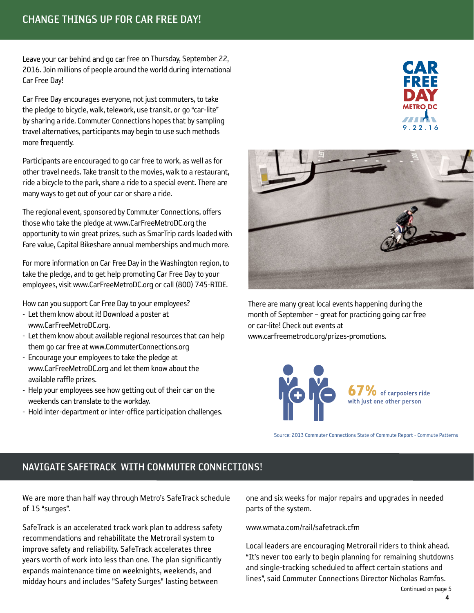Leave your car behind and go car free on Thursday, September 22, 2016. Join millions of people around the world during international Car Free Day!

Car Free Day encourages everyone, not just commuters, to take the pledge to bicycle, walk, telework, use transit, or go "car-lite" by sharing a ride. Commuter Connections hopes that by sampling travel alternatives, participants may begin to use such methods more frequently.

Participants are encouraged to go car free to work, as well as for other travel needs. Take transit to the movies, walk to a restaurant, ride a bicycle to the park, share a ride to a special event. There are many ways to get out of your car or share a ride.

The regional event, sponsored by Commuter Connections, offers those who take the pledge at www.CarFreeMetroDC.org the opportunity to win great prizes, such as SmarTrip cards loaded with Fare value, Capital Bikeshare annual memberships and much more.

For more information on Car Free Day in the Washington region, to take the pledge, and to get help promoting Car Free Day to your employees, visit www.CarFreeMetroDC.org or call (800) 745-RIDE.

How can you support Car Free Day to your employees?

- Let them know about it! Download a poster at www.CarFreeMetroDC.org.
- Let them know about available regional resources that can help them go car free at www.CommuterConnections.org
- Encourage your employees to take the pledge at www.CarFreeMetroDC.org and let them know about the available raffle prizes.
- Help your employees see how getting out of their car on the weekends can translate to the workday.
- Hold inter-department or inter-office participation challenges.





There are many great local events happening during the month of September – great for practicing going car free or car-lite! Check out events at www.carfreemetrodc.org/prizes-promotions.



Source: 2013 Commuter Connections State of Commute Report - Commute Patterns

# NAVIGATE SAFETRACK WITH COMMUTER CONNECTIONS!

We are more than half way through Metro's SafeTrack schedule of 15 "surges".

SafeTrack is an accelerated track work plan to address safety recommendations and rehabilitate the Metrorail system to improve safety and reliability. SafeTrack accelerates three years worth of work into less than one. The plan significantly expands maintenance time on weeknights, weekends, and midday hours and includes "Safety Surges" lasting between

one and six weeks for major repairs and upgrades in needed parts of the system.

www.wmata.com/rail/safetrack.cfm

Local leaders are encouraging Metrorail riders to think ahead. "It's never too early to begin planning for remaining shutdowns and single-tracking scheduled to affect certain stations and lines", said Commuter Connections Director Nicholas Ramfos.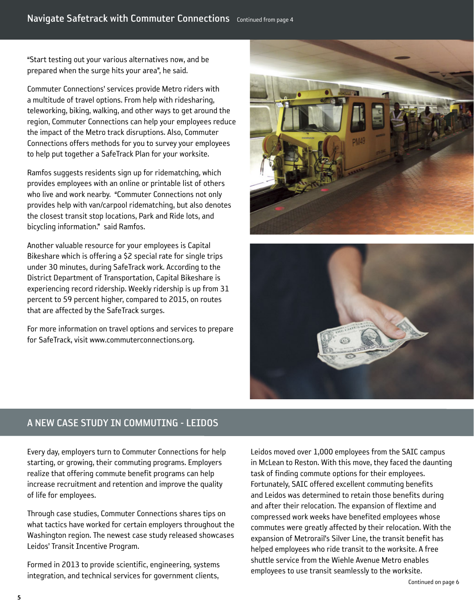"Start testing out your various alternatives now, and be prepared when the surge hits your area", he said.

Commuter Connections' services provide Metro riders with a multitude of travel options. From help with ridesharing, teleworking, biking, walking, and other ways to get around the region, Commuter Connections can help your employees reduce the impact of the Metro track disruptions. Also, Commuter Connections offers methods for you to survey your employees to help put together a SafeTrack Plan for your worksite.

Ramfos suggests residents sign up for ridematching, which provides employees with an online or printable list of others who live and work nearby. "Commuter Connections not only provides help with van/carpool ridematching, but also denotes the closest transit stop locations, Park and Ride lots, and bicycling information." said Ramfos.

Another valuable resource for your employees is Capital Bikeshare which is offering a \$2 special rate for single trips under 30 minutes, during SafeTrack work. According to the District Department of Transportation, Capital Bikeshare is experiencing record ridership. Weekly ridership is up from 31 percent to 59 percent higher, compared to 2015, on routes that are affected by the SafeTrack surges.

 For more information on travel options and services to prepare for SafeTrack, visit www.commuterconnections.org.





# A NEW CASE STUDY IN COMMUTING - LEIDOS

Every day, employers turn to Commuter Connections for help starting, or growing, their commuting programs. Employers realize that offering commute benefit programs can help increase recruitment and retention and improve the quality of life for employees.

 Through case studies, Commuter Connections shares tips on what tactics have worked for certain employers throughout the Washington region. The newest case study released showcases Leidos' Transit Incentive Program.

 Formed in 2013 to provide scientific, engineering, systems integration, and technical services for government clients, Leidos moved over 1,000 employees from the SAIC campus in McLean to Reston. With this move, they faced the daunting task of finding commute options for their employees. Fortunately, SAIC offered excellent commuting benefits and Leidos was determined to retain those benefits during and after their relocation. The expansion of flextime and compressed work weeks have benefited employees whose commutes were greatly affected by their relocation. With the expansion of Metrorail's Silver Line, the transit benefit has helped employees who ride transit to the worksite. A free shuttle service from the Wiehle Avenue Metro enables employees to use transit seamlessly to the worksite.